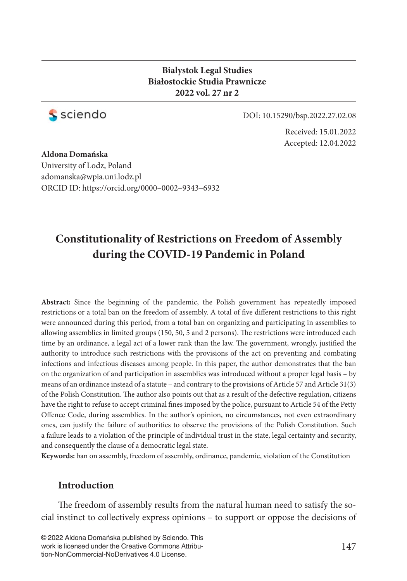### **Bialystok Legal Studies Białostockie Studia Prawnicze 2022 vol. 27 nr 2**



DOI: 10.15290/bsp.2022.27.02.08

Received: 15.01.2022 Accepted: 12.04.2022

### **Aldona Domańska** University of Lodz, Poland adomanska@wpia.uni.lodz.pl ORCID ID: https://orcid.org/0000–0002–9343–6932

# **Constitutionality of Restrictions on Freedom of Assembly during the COVID-19 Pandemic in Poland**

**Abstract:** Since the beginning of the pandemic, the Polish government has repeatedly imposed restrictions or a total ban on the freedom of assembly. A total of five different restrictions to this right were announced during this period, from a total ban on organizing and participating in assemblies to allowing assemblies in limited groups (150, 50, 5 and 2 persons). The restrictions were introduced each time by an ordinance, a legal act of a lower rank than the law. The government, wrongly, justified the authority to introduce such restrictions with the provisions of the act on preventing and combating infections and infectious diseases among people. In this paper, the author demonstrates that the ban on the organization of and participation in assemblies was introduced without a proper legal basis – by means of an ordinance instead of a statute – and contrary to the provisions of Article 57 and Article 31(3) of the Polish Constitution. The author also points out that as a result of the defective regulation, citizens have the right to refuse to accept criminal fines imposed by the police, pursuant to Article 54 of the Petty Offence Code, during assemblies. In the author's opinion, no circumstances, not even extraordinary ones, can justify the failure of authorities to observe the provisions of the Polish Constitution. Such a failure leads to a violation of the principle of individual trust in the state, legal certainty and security, and consequently the clause of a democratic legal state.

**Keywords:** ban on assembly, freedom of assembly, ordinance, pandemic, violation of the Constitution

### **Introduction**

The freedom of assembly results from the natural human need to satisfy the social instinct to collectively express opinions – to support or oppose the decisions of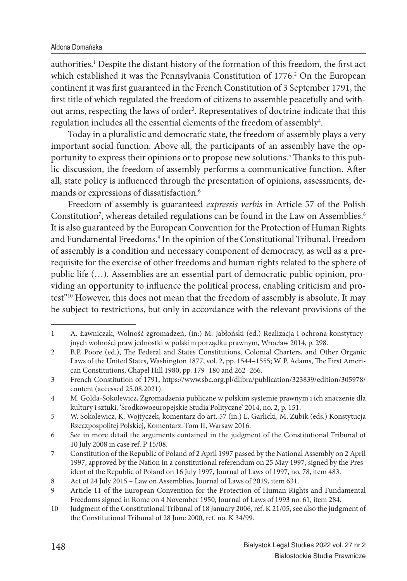#### Aldona Domańska

authorities.<sup>1</sup> Despite the distant history of the formation of this freedom, the first act which established it was the Pennsylvania Constitution of 1776.<sup>2</sup> On the European continent it was first guaranteed in the French Constitution of 3 September 1791, the first title of which regulated the freedom of citizens to assemble peacefully and without arms, respecting the laws of order<sup>3</sup>. Representatives of doctrine indicate that this regulation includes all the essential elements of the freedom of assembly $^4$ .

Today in a pluralistic and democratic state, the freedom of assembly plays a very important social function. Above all, the participants of an assembly have the opportunity to express their opinions or to propose new solutions.<sup>5</sup> Thanks to this public discussion, the freedom of assembly performs a communicative function. After all, state policy is influenced through the presentation of opinions, assessments, demands or expressions of dissatisfaction.<sup>6</sup>

Freedom of assembly is guaranteed *expressis verbis* in Article 57 of the Polish Constitution<sup>7</sup>, whereas detailed regulations can be found in the Law on Assemblies.<sup>8</sup> It is also guaranteed by the European Convention for the Protection of Human Rights and Fundamental Freedoms.<sup>9</sup> In the opinion of the Constitutional Tribunal. Freedom of assembly is a condition and necessary component of democracy, as well as a prerequisite for the exercise of other freedoms and human rights related to the sphere of public life (…). Assemblies are an essential part of democratic public opinion, providing an opportunity to influence the political process, enabling criticism and protest"10 However, this does not mean that the freedom of assembly is absolute. It may be subject to restrictions, but only in accordance with the relevant provisions of the

<sup>1</sup> A. Ławniczak, Wolność zgromadzeń, (in:) M. Jabłoński (ed.) Realizacja i ochrona konstytucyjnych wolności praw jednostki w polskim porządku prawnym, Wrocław 2014, p. 298.

<sup>2</sup> B.P. Poore (ed.), The Federal and States Constitutions, Colonial Charters, and Other Organic Laws of the United States, Washington 1877, vol. 2, pp. 1544–1555; W. P. Adams, The First American Constitutions, Chapel Hill 1980, pp. 179–180 and 262–266.

<sup>3</sup> French Constitution of 1791, https://www.sbc.org.pl/dlibra/publication/323839/edition/305978/ content (accessed 25.08.2021).

<sup>4</sup> M. Gołda-Sokolewicz, Zgromadzenia publiczne w polskim systemie prawnym i ich znaczenie dla kultury i sztuki, 'Środkowoeuropejskie Studia Polityczne' 2014, no. 2, p. 151.

<sup>5</sup> W. Sokolewicz, K. Wojtyczek, komentarz do art. 57 (in:) L. Garlicki, M. Zubik (eds.) Konstytucja Rzeczpospolitej Polskiej, Komentarz. Tom II, Warsaw 2016.

<sup>6</sup> See in more detail the arguments contained in the judgment of the Constitutional Tribunal of 10 July 2008 in case ref. P 15/08.

<sup>7</sup> Constitution of the Republic of Poland of 2 April 1997 passed by the National Assembly on 2 April 1997, approved by the Nation in a constitutional referendum on 25 May 1997, signed by the President of the Republic of Poland on 16 July 1997, Journal of Laws of 1997, no. 78, item 483.

<sup>8</sup> Act of 24 July 2015 – Law on Assemblies, Journal of Laws of 2019, item 631.

<sup>9</sup> Article 11 of the European Convention for the Protection of Human Rights and Fundamental Freedoms signed in Rome on 4 November 1950, Journal of Laws of 1993 no. 61, item 284.

<sup>10</sup> Judgment of the Constitutional Tribunal of 18 January 2006, ref. K 21/05, see also the judgment of the Constitutional Tribunal of 28 June 2000, ref. no. K 34/99.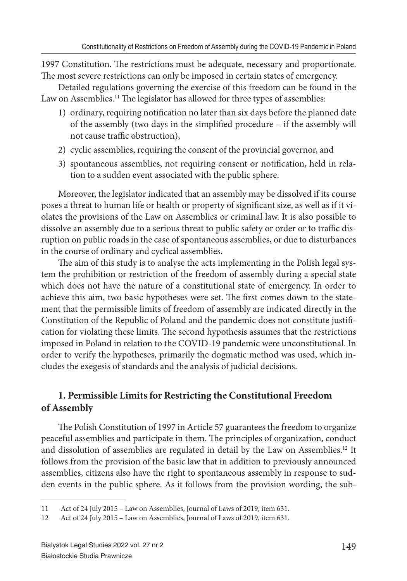1997 Constitution. The restrictions must be adequate, necessary and proportionate. The most severe restrictions can only be imposed in certain states of emergency.

Detailed regulations governing the exercise of this freedom can be found in the Law on Assemblies.<sup>11</sup> The legislator has allowed for three types of assemblies:

- 1) ordinary, requiring notification no later than six days before the planned date of the assembly (two days in the simplified procedure - if the assembly will not cause traffic obstruction),
- 2) cyclic assemblies, requiring the consent of the provincial governor, and
- 3) spontaneous assemblies, not requiring consent or notification, held in relation to a sudden event associated with the public sphere.

Moreover, the legislator indicated that an assembly may be dissolved if its course poses a threat to human life or health or property of significant size, as well as if it violates the provisions of the Law on Assemblies or criminal law. It is also possible to dissolve an assembly due to a serious threat to public safety or order or to traffic disruption on public roads in the case of spontaneous assemblies, or due to disturbances in the course of ordinary and cyclical assemblies.

The aim of this study is to analyse the acts implementing in the Polish legal system the prohibition or restriction of the freedom of assembly during a special state which does not have the nature of a constitutional state of emergency. In order to achieve this aim, two basic hypotheses were set. The first comes down to the statement that the permissible limits of freedom of assembly are indicated directly in the Constitution of the Republic of Poland and the pandemic does not constitute justifi cation for violating these limits. The second hypothesis assumes that the restrictions imposed in Poland in relation to the COVID-19 pandemic were unconstitutional. In order to verify the hypotheses, primarily the dogmatic method was used, which includes the exegesis of standards and the analysis of judicial decisions.

## **1. Permissible Limits for Restricting the Constitutional Freedom of Assembly**

The Polish Constitution of 1997 in Article 57 guarantees the freedom to organize peaceful assemblies and participate in them. The principles of organization, conduct and dissolution of assemblies are regulated in detail by the Law on Assemblies.<sup>12</sup> It follows from the provision of the basic law that in addition to previously announced assemblies, citizens also have the right to spontaneous assembly in response to sudden events in the public sphere. As it follows from the provision wording, the sub-

<sup>11</sup> Act of 24 July 2015 – Law on Assemblies, Journal of Laws of 2019, item 631.

<sup>12</sup> Act of 24 July 2015 – Law on Assemblies, Journal of Laws of 2019, item 631.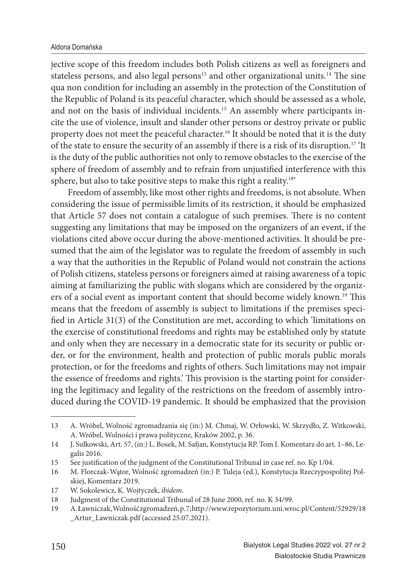jective scope of this freedom includes both Polish citizens as well as foreigners and stateless persons, and also legal persons $13$  and other organizational units.<sup>14</sup> The sine qua non condition for including an assembly in the protection of the Constitution of the Republic of Poland is its peaceful character, which should be assessed as a whole, and not on the basis of individual incidents.15 An assembly where participants incite the use of violence, insult and slander other persons or destroy private or public property does not meet the peaceful character.<sup>16</sup> It should be noted that it is the duty of the state to ensure the security of an assembly if there is a risk of its disruption.17 'It is the duty of the public authorities not only to remove obstacles to the exercise of the sphere of freedom of assembly and to refrain from unjustified interference with this sphere, but also to take positive steps to make this right a reality.<sup>18'</sup>

Freedom of assembly, like most other rights and freedoms, is not absolute. When considering the issue of permissible limits of its restriction, it should be emphasized that Article 57 does not contain a catalogue of such premises. There is no content suggesting any limitations that may be imposed on the organizers of an event, if the violations cited above occur during the above-mentioned activities. It should be presumed that the aim of the legislator was to regulate the freedom of assembly in such a way that the authorities in the Republic of Poland would not constrain the actions of Polish citizens, stateless persons or foreigners aimed at raising awareness of a topic aiming at familiarizing the public with slogans which are considered by the organizers of a social event as important content that should become widely known.<sup>19</sup> This means that the freedom of assembly is subject to limitations if the premises specified in Article 31(3) of the Constitution are met, according to which 'limitations on the exercise of constitutional freedoms and rights may be established only by statute and only when they are necessary in a democratic state for its security or public order, or for the environment, health and protection of public morals public morals protection, or for the freedoms and rights of others. Such limitations may not impair the essence of freedoms and rights.' This provision is the starting point for considering the legitimacy and legality of the restrictions on the freedom of assembly introduced during the COVID-19 pandemic. It should be emphasized that the provision

<sup>13</sup> A. Wróbel, Wolność zgromadzania się (in:) M. Chmaj, W. Orłowski, W. Skrzydło, Z. Witkowski, A. Wróbel, Wolności i prawa polityczne, Kraków 2002, p. 36.

<sup>14</sup> J. Sułkowski, Art. 57, (in:) L. Bosek, M. Safjan, Konstytucja RP. Tom I. Komentarz do art. 1–86, Legalis 2016.

<sup>15</sup> See justification of the judgment of the Constitutional Tribunal in case ref. no. Kp 1/04.

<sup>16</sup> M. Florczak-Wątor, Wolność zgromadzeń (in:) P. Tuleja (ed.), Konstytucja Rzeczypospolitej Polskiej, Komentarz 2019.

<sup>17</sup> W. Sokolewicz, K. Wojtyczek, *ibidem*.

<sup>18</sup> Judgment of the Constitutional Tribunal of 28 June 2000, ref. no. K 34/99.

<sup>19</sup> A. Ławniczak, Wolność zgromadzeń, p. 7; http://www.repozytorium.uni.wroc.pl/Content/52929/18 Artur\_Lawniczak.pdf (accessed 25.07.2021).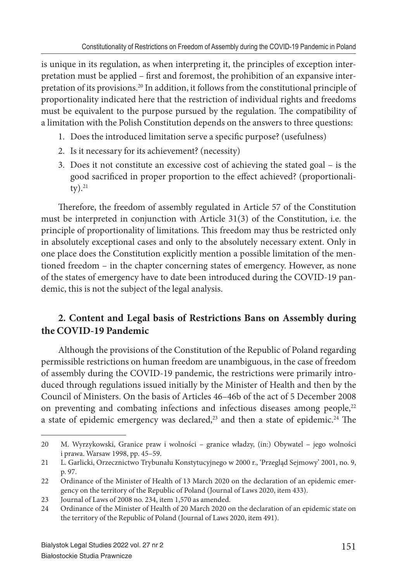is unique in its regulation, as when interpreting it, the principles of exception interpretation must be applied – first and foremost, the prohibition of an expansive interpretation of its provisions.20 In addition, it follows from the constitutional principle of proportionality indicated here that the restriction of individual rights and freedoms must be equivalent to the purpose pursued by the regulation. The compatibility of a limitation with the Polish Constitution depends on the answers to three questions:

- 1. Does the introduced limitation serve a specific purpose? (usefulness)
- 2. Is it necessary for its achievement? (necessity)
- 3. Does it not constitute an excessive cost of achieving the stated goal is the good sacrificed in proper proportion to the effect achieved? (proportionali $ty)$ .<sup>21</sup>

Therefore, the freedom of assembly regulated in Article 57 of the Constitution must be interpreted in conjunction with Article 31(3) of the Constitution, i.e. the principle of proportionality of limitations. This freedom may thus be restricted only in absolutely exceptional cases and only to the absolutely necessary extent. Only in one place does the Constitution explicitly mention a possible limitation of the mentioned freedom – in the chapter concerning states of emergency. However, as none of the states of emergency have to date been introduced during the COVID-19 pandemic, this is not the subject of the legal analysis.

## **2. Content and Legal basis of Restrictions Bans on Assembly during the COVID-19 Pandemic**

Although the provisions of the Constitution of the Republic of Poland regarding permissible restrictions on human freedom are unambiguous, in the case of freedom of assembly during the COVID-19 pandemic, the restrictions were primarily introduced through regulations issued initially by the Minister of Health and then by the Council of Ministers. On the basis of Articles 46–46b of the act of 5 December 2008 on preventing and combating infections and infectious diseases among people,<sup>22</sup> a state of epidemic emergency was declared,<sup>23</sup> and then a state of epidemic.<sup>24</sup> The

<sup>20</sup> M. Wyrzykowski, Granice praw i wolności – granice władzy, (in:) Obywatel – jego wolności i prawa. Warsaw 1998, pp. 45–59.

<sup>21</sup> L. Garlicki, Orzecznictwo Trybunału Konstytucyjnego w 2000 r., 'Przegląd Sejmowy' 2001, no. 9, p. 97.

<sup>22</sup> Ordinance of the Minister of Health of 13 March 2020 on the declaration of an epidemic emergency on the territory of the Republic of Poland (Journal of Laws 2020, item 433).

<sup>23</sup> Journal of Laws of 2008 no. 234, item 1,570 as amended.

<sup>24</sup> Ordinance of the Minister of Health of 20 March 2020 on the declaration of an epidemic state on the territory of the Republic of Poland (Journal of Laws 2020, item 491).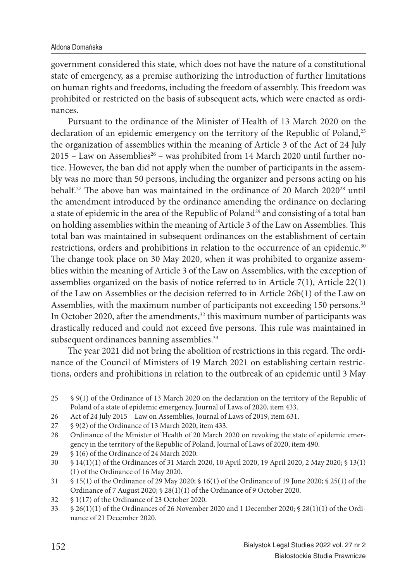government considered this state, which does not have the nature of a constitutional state of emergency, as a premise authorizing the introduction of further limitations on human rights and freedoms, including the freedom of assembly. This freedom was prohibited or restricted on the basis of subsequent acts, which were enacted as ordinances.

Pursuant to the ordinance of the Minister of Health of 13 March 2020 on the declaration of an epidemic emergency on the territory of the Republic of Poland,<sup>25</sup> the organization of assemblies within the meaning of Article 3 of the Act of 24 July  $2015$  – Law on Assemblies<sup>26</sup> – was prohibited from 14 March 2020 until further notice. However, the ban did not apply when the number of participants in the assembly was no more than 50 persons, including the organizer and persons acting on his behalf.<sup>27</sup> The above ban was maintained in the ordinance of 20 March 2020<sup>28</sup> until the amendment introduced by the ordinance amending the ordinance on declaring a state of epidemic in the area of the Republic of Poland<sup>29</sup> and consisting of a total ban on holding assemblies within the meaning of Article 3 of the Law on Assemblies. This total ban was maintained in subsequent ordinances on the establishment of certain restrictions, orders and prohibitions in relation to the occurrence of an epidemic.<sup>30</sup> The change took place on 30 May 2020, when it was prohibited to organize assemblies within the meaning of Article 3 of the Law on Assemblies, with the exception of assemblies organized on the basis of notice referred to in Article  $7(1)$ , Article  $22(1)$ of the Law on Assemblies or the decision referred to in Article 26b(1) of the Law on Assemblies, with the maximum number of participants not exceeding 150 persons.<sup>31</sup> In October 2020, after the amendments, $32$  this maximum number of participants was drastically reduced and could not exceed five persons. This rule was maintained in subsequent ordinances banning assemblies.<sup>33</sup>

The year 2021 did not bring the abolition of restrictions in this regard. The ordinance of the Council of Ministers of 19 March 2021 on establishing certain restrictions, orders and prohibitions in relation to the outbreak of an epidemic until 3 May

<sup>25 § 9(1)</sup> of the Ordinance of 13 March 2020 on the declaration on the territory of the Republic of Poland of a state of epidemic emergency, Journal of Laws of 2020, item 433.

<sup>26</sup> Act of 24 July 2015 – Law on Assemblies, Journal of Laws of 2019, item 631.<br>27 § 9(2) of the Ordinance of 13 March 2020, item 433.

<sup>§ 9(2)</sup> of the Ordinance of 13 March 2020, item 433.

<sup>28</sup> Ordinance of the Minister of Health of 20 March 2020 on revoking the state of epidemic emergency in the territory of the Republic of Poland, Journal of Laws of 2020, item 490.

<sup>29 § 1(6)</sup> of the Ordinance of 24 March 2020.

<sup>30 § 14(1)(1)</sup> of the Ordinances of 31 March 2020, 10 April 2020, 19 April 2020, 2 May 2020; § 13(1) (1) of the Ordinance of 16 May 2020.

<sup>31 § 15(1)</sup> of the Ordinance of 29 May 2020; § 16(1) of the Ordinance of 19 June 2020; § 25(1) of the Ordinance of 7 August 2020; § 28(1)(1) of the Ordinance of 9 October 2020.

<sup>32 § 1(17)</sup> of the Ordinance of 23 October 2020.

<sup>33 § 26(1)(1)</sup> of the Ordinances of 26 November 2020 and 1 December 2020; § 28(1)(1) of the Ordinance of 21 December 2020.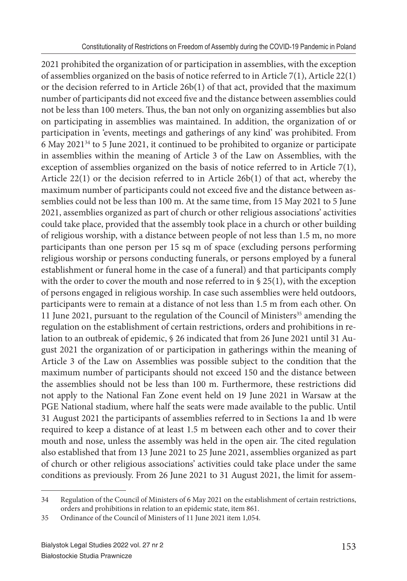2021 prohibited the organization of or participation in assemblies, with the exception of assemblies organized on the basis of notice referred to in Article 7(1), Article 22(1) or the decision referred to in Article 26b(1) of that act, provided that the maximum number of participants did not exceed five and the distance between assemblies could not be less than 100 meters. Thus, the ban not only on organizing assemblies but also on participating in assemblies was maintained. In addition, the organization of or participation in 'events, meetings and gatherings of any kind' was prohibited. From 6 May 202134 to 5 June 2021, it continued to be prohibited to organize or participate in assemblies within the meaning of Article 3 of the Law on Assemblies, with the exception of assemblies organized on the basis of notice referred to in Article 7(1), Article 22(1) or the decision referred to in Article 26b(1) of that act, whereby the maximum number of participants could not exceed five and the distance between assemblies could not be less than 100 m. At the same time, from 15 May 2021 to 5 June 2021, assemblies organized as part of church or other religious associations' activities could take place, provided that the assembly took place in a church or other building of religious worship, with a distance between people of not less than 1.5 m, no more participants than one person per 15 sq m of space (excluding persons performing religious worship or persons conducting funerals, or persons employed by a funeral establishment or funeral home in the case of a funeral) and that participants comply with the order to cover the mouth and nose referred to in § 25(1), with the exception of persons engaged in religious worship. In case such assemblies were held outdoors, participants were to remain at a distance of not less than 1.5 m from each other. On 11 June 2021, pursuant to the regulation of the Council of Ministers<sup>35</sup> amending the regulation on the establishment of certain restrictions, orders and prohibitions in relation to an outbreak of epidemic, § 26 indicated that from 26 June 2021 until 31 August 2021 the organization of or participation in gatherings within the meaning of Article 3 of the Law on Assemblies was possible subject to the condition that the maximum number of participants should not exceed 150 and the distance between the assemblies should not be less than 100 m. Furthermore, these restrictions did not apply to the National Fan Zone event held on 19 June 2021 in Warsaw at the PGE National stadium, where half the seats were made available to the public. Until 31 August 2021 the participants of assemblies referred to in Sections 1a and 1b were required to keep a distance of at least 1.5 m between each other and to cover their mouth and nose, unless the assembly was held in the open air. The cited regulation also established that from 13 June 2021 to 25 June 2021, assemblies organized as part of church or other religious associations' activities could take place under the same conditions as previously. From 26 June 2021 to 31 August 2021, the limit for assem-

<sup>34</sup> Regulation of the Council of Ministers of 6 May 2021 on the establishment of certain restrictions, orders and prohibitions in relation to an epidemic state, item 861.

<sup>35</sup> Ordinance of the Council of Ministers of 11 June 2021 item 1,054.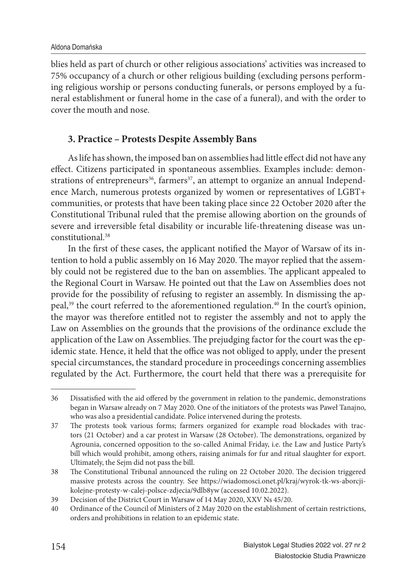blies held as part of church or other religious associations' activities was increased to 75% occupancy of a church or other religious building (excluding persons performing religious worship or persons conducting funerals, or persons employed by a funeral establishment or funeral home in the case of a funeral), and with the order to cover the mouth and nose.

### **3. Practice – Protests Despite Assembly Bans**

As life has shown, the imposed ban on assemblies had little effect did not have any effect. Citizens participated in spontaneous assemblies. Examples include: demonstrations of entrepreneurs<sup>36</sup>, farmers<sup>37</sup>, an attempt to organize an annual Independence March, numerous protests organized by women or representatives of LGBT+ communities, or protests that have been taking place since 22 October 2020 after the Constitutional Tribunal ruled that the premise allowing abortion on the grounds of severe and irreversible fetal disability or incurable life-threatening disease was unconstitutional.38

In the first of these cases, the applicant notified the Mayor of Warsaw of its intention to hold a public assembly on 16 May 2020. The mayor replied that the assembly could not be registered due to the ban on assemblies. The applicant appealed to the Regional Court in Warsaw. He pointed out that the Law on Assemblies does not provide for the possibility of refusing to register an assembly. In dismissing the appeal,<sup>39</sup> the court referred to the aforementioned regulation.<sup>40</sup> In the court's opinion, the mayor was therefore entitled not to register the assembly and not to apply the Law on Assemblies on the grounds that the provisions of the ordinance exclude the application of the Law on Assemblies. The prejudging factor for the court was the epidemic state. Hence, it held that the office was not obliged to apply, under the present special circumstances, the standard procedure in proceedings concerning assemblies regulated by the Act. Furthermore, the court held that there was a prerequisite for

<sup>36</sup> Dissatisfied with the aid offered by the government in relation to the pandemic, demonstrations began in Warsaw already on 7 May 2020. One of the initiators of the protests was Paweł Tanajno, who was also a presidential candidate. Police intervened during the protests.

<sup>37</sup> The protests took various forms; farmers organized for example road blockades with tractors (21 October) and a car protest in Warsaw (28 October). The demonstrations, organized by Agrounia, concerned opposition to the so-called Animal Friday, i.e. the Law and Justice Party's bill which would prohibit, among others, raising animals for fur and ritual slaughter for export. Ultimately, the Sejm did not pass the bill.

<sup>38</sup> The Constitutional Tribunal announced the ruling on 22 October 2020. The decision triggered massive protests across the country. See https://wiadomosci.onet.pl/kraj/wyrok-tk-ws-aborcjikolejne-protesty-w-calej-polsce-zdjecia/9dlb8yw (accessed 10.02.2022).

<sup>39</sup> Decision of the District Court in Warsaw of 14 May 2020, XXV Ns 45/20.

<sup>40</sup> Ordinance of the Council of Ministers of 2 May 2020 on the establishment of certain restrictions, orders and prohibitions in relation to an epidemic state.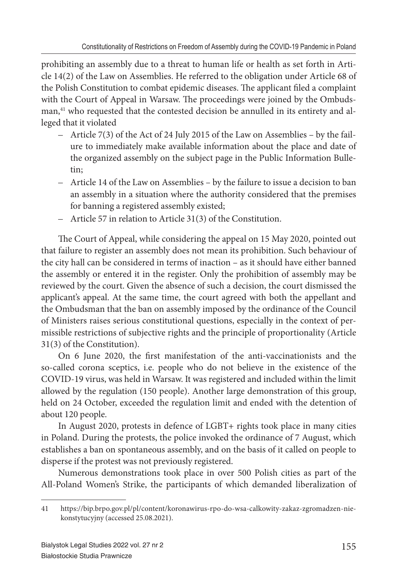prohibiting an assembly due to a threat to human life or health as set forth in Article 14(2) of the Law on Assemblies. He referred to the obligation under Article 68 of the Polish Constitution to combat epidemic diseases. The applicant filed a complaint with the Court of Appeal in Warsaw. The proceedings were joined by the Ombudsman,<sup>41</sup> who requested that the contested decision be annulled in its entirety and alleged that it violated

- Article 7(3) of the Act of 24 July 2015 of the Law on Assemblies by the failure to immediately make available information about the place and date of the organized assembly on the subject page in the Public Information Bulletin;
- Article 14 of the Law on Assemblies by the failure to issue a decision to ban an assembly in a situation where the authority considered that the premises for banning a registered assembly existed;
- Article 57 in relation to Article 31(3) of the Constitution.

The Court of Appeal, while considering the appeal on 15 May 2020, pointed out that failure to register an assembly does not mean its prohibition. Such behaviour of the city hall can be considered in terms of inaction – as it should have either banned the assembly or entered it in the register. Only the prohibition of assembly may be reviewed by the court. Given the absence of such a decision, the court dismissed the applicant's appeal. At the same time, the court agreed with both the appellant and the Ombudsman that the ban on assembly imposed by the ordinance of the Council of Ministers raises serious constitutional questions, especially in the context of permissible restrictions of subjective rights and the principle of proportionality (Article 31(3) of the Constitution).

On 6 June 2020, the first manifestation of the anti-vaccinationists and the so-called corona sceptics, i.e. people who do not believe in the existence of the COVID-19 virus, was held in Warsaw. It was registered and included within the limit allowed by the regulation (150 people). Another large demonstration of this group, held on 24 October, exceeded the regulation limit and ended with the detention of about 120 people.

In August 2020, protests in defence of LGBT+ rights took place in many cities in Poland. During the protests, the police invoked the ordinance of 7 August, which establishes a ban on spontaneous assembly, and on the basis of it called on people to disperse if the protest was not previously registered.

Numerous demonstrations took place in over 500 Polish cities as part of the All-Poland Women's Strike, the participants of which demanded liberalization of

<sup>41</sup> https://bip.brpo.gov.pl/pl/content/koronawirus-rpo-do-wsa-calkowity-zakaz-zgromadzen-niekonstytucyjny (accessed 25.08.2021).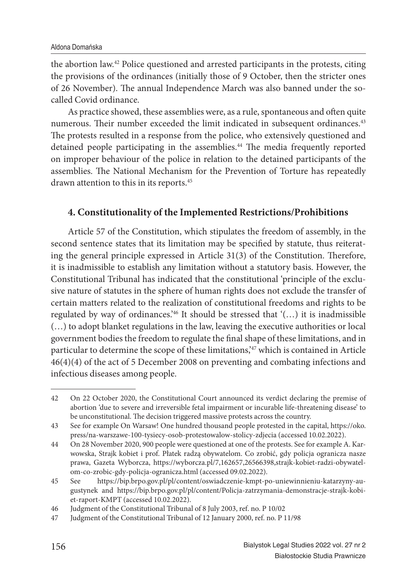the abortion law.42 Police questioned and arrested participants in the protests, citing the provisions of the ordinances (initially those of 9 October, then the stricter ones of 26 November). The annual Independence March was also banned under the socalled Covid ordinance.

As practice showed, these assemblies were, as a rule, spontaneous and often quite numerous. Their number exceeded the limit indicated in subsequent ordinances.<sup>43</sup> The protests resulted in a response from the police, who extensively questioned and detained people participating in the assemblies.<sup>44</sup> The media frequently reported on improper behaviour of the police in relation to the detained participants of the assemblies. The National Mechanism for the Prevention of Torture has repeatedly drawn attention to this in its reports.45

### **4. Constitutionality of the Implemented Restrictions/Prohibitions**

Article 57 of the Constitution, which stipulates the freedom of assembly, in the second sentence states that its limitation may be specified by statute, thus reiterating the general principle expressed in Article 31(3) of the Constitution. Therefore, it is inadmissible to establish any limitation without a statutory basis. However, the Constitutional Tribunal has indicated that the constitutional 'principle of the exclusive nature of statutes in the sphere of human rights does not exclude the transfer of certain matters related to the realization of constitutional freedoms and rights to be regulated by way of ordinances.'46 It should be stressed that '(…) it is inadmissible (…) to adopt blanket regulations in the law, leaving the executive authorities or local government bodies the freedom to regulate the final shape of these limitations, and in particular to determine the scope of these limitations,<sup>47</sup> which is contained in Article 46(4)(4) of the act of 5 December 2008 on preventing and combating infections and infectious diseases among people.

<sup>42</sup> On 22 October 2020, the Constitutional Court announced its verdict declaring the premise of abortion 'due to severe and irreversible fetal impairment or incurable life-threatening disease' to be unconstitutional. The decision triggered massive protests across the country.

<sup>43</sup> See for example On Warsaw! One hundred thousand people protested in the capital, https://oko. press/na-warszawe-100-tysiecy-osob-protestowalow-stolicy-zdjecia (accessed 10.02.2022).

<sup>44</sup> On 28 November 2020, 900 people were questioned at one of the protests. See for example A. Karwowska, Strajk kobiet i prof. Płatek radzą obywatelom. Co zrobić, gdy policja ogranicza nasze prawa, Gazeta Wyborcza, https://wyborcza.pl/7,162657,26566398,strajk-kobiet-radzi-obywatelom-co-zrobic-gdy-policja-ogranicza.html (accessed 09.02.2022).

<sup>45</sup> See https://bip.brpo.gov.pl/pl/content/oswiadczenie-kmpt-po-uniewinnieniu-katarzyny-augustynek and https://bip.brpo.gov.pl/pl/content/Policja-zatrzymania-demonstracje-strajk-kobiet-raport-KMPT (accessed 10.02.2022).

<sup>46</sup> Judgment of the Constitutional Tribunal of 8 July 2003, ref. no. P 10/02

<sup>47</sup> Judgment of the Constitutional Tribunal of 12 January 2000, ref. no. P 11/98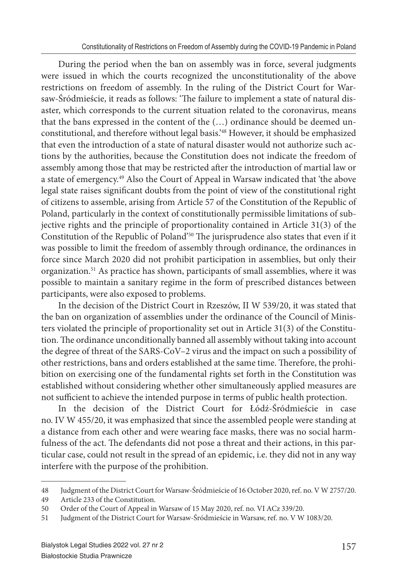During the period when the ban on assembly was in force, several judgments were issued in which the courts recognized the unconstitutionality of the above restrictions on freedom of assembly. In the ruling of the District Court for Warsaw-Śródmieście, it reads as follows: 'The failure to implement a state of natural disaster, which corresponds to the current situation related to the coronavirus, means that the bans expressed in the content of the (…) ordinance should be deemed unconstitutional, and therefore without legal basis.'48 However, it should be emphasized that even the introduction of a state of natural disaster would not authorize such actions by the authorities, because the Constitution does not indicate the freedom of assembly among those that may be restricted after the introduction of martial law or a state of emergency.49 Also the Court of Appeal in Warsaw indicated that 'the above legal state raises significant doubts from the point of view of the constitutional right of citizens to assemble, arising from Article 57 of the Constitution of the Republic of Poland, particularly in the context of constitutionally permissible limitations of subjective rights and the principle of proportionality contained in Article 31(3) of the Constitution of the Republic of Poland'<sup>50</sup> The jurisprudence also states that even if it was possible to limit the freedom of assembly through ordinance, the ordinances in force since March 2020 did not prohibit participation in assemblies, but only their organization.51 As practice has shown, participants of small assemblies, where it was possible to maintain a sanitary regime in the form of prescribed distances between participants, were also exposed to problems.

In the decision of the District Court in Rzeszów, II W 539/20, it was stated that the ban on organization of assemblies under the ordinance of the Council of Ministers violated the principle of proportionality set out in Article 31(3) of the Constitution. The ordinance unconditionally banned all assembly without taking into account the degree of threat of the SARS-CoV–2 virus and the impact on such a possibility of other restrictions, bans and orders established at the same time. Therefore, the prohibition on exercising one of the fundamental rights set forth in the Constitution was established without considering whether other simultaneously applied measures are not sufficient to achieve the intended purpose in terms of public health protection.

In the decision of the District Court for Łódź-Śródmieście in case no. IV W 455/20, it was emphasized that since the assembled people were standing at a distance from each other and were wearing face masks, there was no social harmfulness of the act. The defendants did not pose a threat and their actions, in this particular case, could not result in the spread of an epidemic, i.e. they did not in any way interfere with the purpose of the prohibition.

<sup>48</sup> Judgment of the District Court for Warsaw-Śródmieście of 16 October 2020, ref. no. V W 2757/20.

<sup>49</sup> Article 233 of the Constitution.

<sup>50</sup> Order of the Court of Appeal in Warsaw of 15 May 2020, ref. no. VI ACz 339/20.

<sup>51</sup> Judgment of the District Court for Warsaw-Śródmieście in Warsaw, ref. no. V W 1083/20.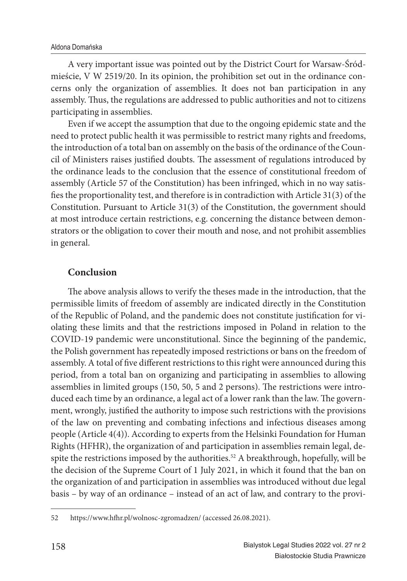A very important issue was pointed out by the District Court for Warsaw-Śródmieście, V W 2519/20. In its opinion, the prohibition set out in the ordinance concerns only the organization of assemblies. It does not ban participation in any assembly. Thus, the regulations are addressed to public authorities and not to citizens participating in assemblies.

Even if we accept the assumption that due to the ongoing epidemic state and the need to protect public health it was permissible to restrict many rights and freedoms, the introduction of a total ban on assembly on the basis of the ordinance of the Council of Ministers raises justified doubts. The assessment of regulations introduced by the ordinance leads to the conclusion that the essence of constitutional freedom of assembly (Article 57 of the Constitution) has been infringed, which in no way satisfies the proportionality test, and therefore is in contradiction with Article  $31(3)$  of the Constitution. Pursuant to Article 31(3) of the Constitution, the government should at most introduce certain restrictions, e.g. concerning the distance between demonstrators or the obligation to cover their mouth and nose, and not prohibit assemblies in general.

### **Conclusion**

The above analysis allows to verify the theses made in the introduction, that the permissible limits of freedom of assembly are indicated directly in the Constitution of the Republic of Poland, and the pandemic does not constitute justification for violating these limits and that the restrictions imposed in Poland in relation to the COVID-19 pandemic were unconstitutional. Since the beginning of the pandemic, the Polish government has repeatedly imposed restrictions or bans on the freedom of assembly. A total of five different restrictions to this right were announced during this period, from a total ban on organizing and participating in assemblies to allowing assemblies in limited groups (150, 50, 5 and 2 persons). The restrictions were introduced each time by an ordinance, a legal act of a lower rank than the law. The government, wrongly, justified the authority to impose such restrictions with the provisions of the law on preventing and combating infections and infectious diseases among people (Article 4(4)). According to experts from the Helsinki Foundation for Human Rights (HFHR), the organization of and participation in assemblies remain legal, despite the restrictions imposed by the authorities.<sup>52</sup> A breakthrough, hopefully, will be the decision of the Supreme Court of 1 July 2021, in which it found that the ban on the organization of and participation in assemblies was introduced without due legal basis – by way of an ordinance – instead of an act of law, and contrary to the provi-

<sup>52</sup> https://www.hfhr.pl/wolnosc-zgromadzen/ (accessed 26.08.2021).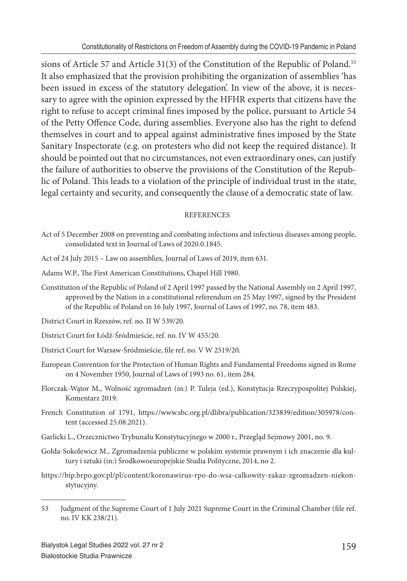sions of Article 57 and Article 31(3) of the Constitution of the Republic of Poland.<sup>53</sup> It also emphasized that the provision prohibiting the organization of assemblies 'has been issued in excess of the statutory delegation'. In view of the above, it is necessary to agree with the opinion expressed by the HFHR experts that citizens have the right to refuse to accept criminal fines imposed by the police, pursuant to Article 54 of the Petty Offence Code, during assemblies. Everyone also has the right to defend themselves in court and to appeal against administrative fines imposed by the State Sanitary Inspectorate (e.g. on protesters who did not keep the required distance). It should be pointed out that no circumstances, not even extraordinary ones, can justify the failure of authorities to observe the provisions of the Constitution of the Republic of Poland. This leads to a violation of the principle of individual trust in the state, legal certainty and security, and consequently the clause of a democratic state of law.

#### **REFERENCES**

- Act of 5 December 2008 on preventing and combating infections and infectious diseases among people, consolidated text in Journal of Laws of 2020.0.1845.
- Act of 24 July 2015 Law on assemblies, Journal of Laws of 2019, item 631.
- Adams W.P., The First American Constitutions, Chapel Hill 1980.
- Constitution of the Republic of Poland of 2 April 1997 passed by the National Assembly on 2 April 1997, approved by the Nation in a constitutional referendum on 25 May 1997, signed by the President of the Republic of Poland on 16 July 1997, Journal of Laws of 1997, no. 78, item 483.
- District Court in Rzeszów, ref. no. II W 539/20.
- District Court for Łódź-Śródmieście, ref. no. IV W 455/20.
- District Court for Warsaw-Śródmieście, file ref. no. V W 2519/20.
- European Convention for the Protection of Human Rights and Fundamental Freedoms signed in Rome on 4 November 1950, Journal of Laws of 1993 no. 61, item 284.
- Florczak-Wątor M., Wolność zgromadzeń (in:) P. Tuleja (ed.), Konstytucja Rzeczypospolitej Polskiej, Komentarz 2019.
- French Constitution of 1791, https://www.sbc.org.pl/dlibra/publication/323839/edition/305978/content (accessed 25.08.2021).
- Garlicki L., Orzecznictwo Trybunału Konstytucyjnego w 2000 r., Przegląd Sejmowy 2001, no. 9.
- Gołda-Sokolewicz M., Zgromadzenia publiczne w polskim systemie prawnym i ich znaczenie dla kultury i sztuki (in:) Środkowoeuropejskie Studia Polityczne, 2014, no 2.
- https://bip.brpo.gov.pl/pl/content/koronawirus-rpo-do-wsa-calkowity-zakaz-zgromadzen-niekonstytucyjny.

<sup>53</sup> Judgment of the Supreme Court of 1 July 2021 Supreme Court in the Criminal Chamber (file ref. no. IV KK 238/21).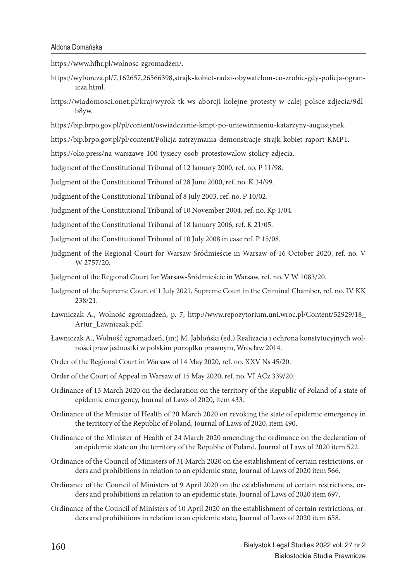https://www.hfhr.pl/wolnosc-zgromadzen/.

- https://wyborcza.pl/7,162657,26566398,strajk-kobiet-radzi-obywatelom-co-zrobic-gdy-policja-ogranicza.html.
- https://wiadomosci.onet.pl/kraj/wyrok-tk-ws-aborcji-kolejne-protesty-w-calej-polsce-zdjecia/9dlb8yw.
- https://bip.brpo.gov.pl/pl/content/oswiadczenie-kmpt-po-uniewinnieniu-katarzyny-augustynek.
- https://bip.brpo.gov.pl/pl/content/Policja-zatrzymania-demonstracje-strajk-kobiet-raport-KMPT.
- https://oko.press/na-warszawe-100-tysiecy-osob-protestowalow-stolicy-zdjecia.
- Judgment of the Constitutional Tribunal of 12 January 2000, ref. no. P 11/98.

Judgment of the Constitutional Tribunal of 28 June 2000, ref. no. K 34/99.

Judgment of the Constitutional Tribunal of 8 July 2003, ref. no. P 10/02.

- Judgment of the Constitutional Tribunal of 10 November 2004, ref. no. Kp 1/04.
- Judgment of the Constitutional Tribunal of 18 January 2006, ref. K 21/05.
- Judgment of the Constitutional Tribunal of 10 July 2008 in case ref. P 15/08.
- Judgment of the Regional Court for Warsaw-Śródmieście in Warsaw of 16 October 2020, ref. no. V W 2757/20
- Judgment of the Regional Court for Warsaw-Śródmieście in Warsaw, ref. no. V W 1083/20.
- Judgment of the Supreme Court of 1 July 2021, Supreme Court in the Criminal Chamber, ref. no. IV KK 238/21.
- Ławniczak A., Wolność zgromadzeń, p. 7; http://www.repozytorium.uni.wroc.pl/Content/52929/18\_ Artur\_Lawniczak.pdf.
- Ławniczak A., Wolność zgromadzeń, (in:) M. Jabłoński (ed.) Realizacja i ochrona konstytucyjnych wolności praw jednostki w polskim porządku prawnym, Wrocław 2014.
- Order of the Regional Court in Warsaw of 14 May 2020, ref. no. XXV Ns 45/20.
- Order of the Court of Appeal in Warsaw of 15 May 2020, ref. no. VI ACz 339/20.
- Ordinance of 13 March 2020 on the declaration on the territory of the Republic of Poland of a state of epidemic emergency, Journal of Laws of 2020, item 433.
- Ordinance of the Minister of Health of 20 March 2020 on revoking the state of epidemic emergency in the territory of the Republic of Poland, Journal of Laws of 2020, item 490.
- Ordinance of the Minister of Health of 24 March 2020 amending the ordinance on the declaration of an epidemic state on the territory of the Republic of Poland, Journal of Laws of 2020 item 522.
- Ordinance of the Council of Ministers of 31 March 2020 on the establishment of certain restrictions, orders and prohibitions in relation to an epidemic state, Journal of Laws of 2020 item 566.
- Ordinance of the Council of Ministers of 9 April 2020 on the establishment of certain restrictions, orders and prohibitions in relation to an epidemic state, Journal of Laws of 2020 item 697.
- Ordinance of the Council of Ministers of 10 April 2020 on the establishment of certain restrictions, orders and prohibitions in relation to an epidemic state, Journal of Laws of 2020 item 658.